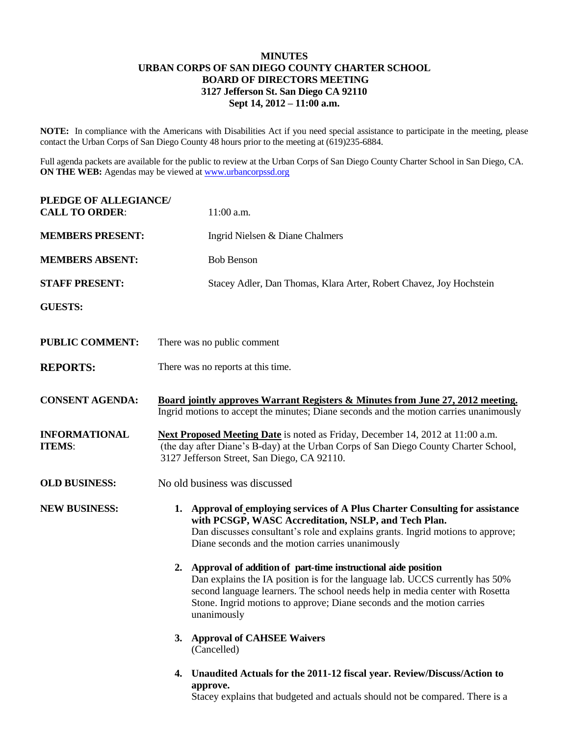## **MINUTES URBAN CORPS OF SAN DIEGO COUNTY CHARTER SCHOOL BOARD OF DIRECTORS MEETING 3127 Jefferson St. San Diego CA 92110 Sept 14, 2012 – 11:00 a.m.**

**NOTE:** In compliance with the Americans with Disabilities Act if you need special assistance to participate in the meeting, please contact the Urban Corps of San Diego County 48 hours prior to the meeting at (619)235-6884.

Full agenda packets are available for the public to review at the Urban Corps of San Diego County Charter School in San Diego, CA. **ON THE WEB:** Agendas may be viewed at [www.urbancorpssd.org](http://www.urbancorpssd.org/)

| PLEDGE OF ALLEGIANCE/<br><b>CALL TO ORDER:</b> | 11:00 a.m.                                                                                                                                                                                                                                                                                                                   |
|------------------------------------------------|------------------------------------------------------------------------------------------------------------------------------------------------------------------------------------------------------------------------------------------------------------------------------------------------------------------------------|
| <b>MEMBERS PRESENT:</b>                        | Ingrid Nielsen & Diane Chalmers                                                                                                                                                                                                                                                                                              |
| <b>MEMBERS ABSENT:</b>                         | <b>Bob Benson</b>                                                                                                                                                                                                                                                                                                            |
| <b>STAFF PRESENT:</b>                          | Stacey Adler, Dan Thomas, Klara Arter, Robert Chavez, Joy Hochstein                                                                                                                                                                                                                                                          |
| <b>GUESTS:</b>                                 |                                                                                                                                                                                                                                                                                                                              |
| <b>PUBLIC COMMENT:</b>                         | There was no public comment                                                                                                                                                                                                                                                                                                  |
| <b>REPORTS:</b>                                | There was no reports at this time.                                                                                                                                                                                                                                                                                           |
| <b>CONSENT AGENDA:</b>                         | <b>Board jointly approves Warrant Registers &amp; Minutes from June 27, 2012 meeting.</b><br>Ingrid motions to accept the minutes; Diane seconds and the motion carries unanimously                                                                                                                                          |
| <b>INFORMATIONAL</b><br><b>ITEMS:</b>          | Next Proposed Meeting Date is noted as Friday, December 14, 2012 at 11:00 a.m.<br>(the day after Diane's B-day) at the Urban Corps of San Diego County Charter School,<br>3127 Jefferson Street, San Diego, CA 92110.                                                                                                        |
| <b>OLD BUSINESS:</b>                           | No old business was discussed                                                                                                                                                                                                                                                                                                |
| <b>NEW BUSINESS:</b>                           | 1. Approval of employing services of A Plus Charter Consulting for assistance<br>with PCSGP, WASC Accreditation, NSLP, and Tech Plan.<br>Dan discusses consultant's role and explains grants. Ingrid motions to approve;<br>Diane seconds and the motion carries unanimously                                                 |
|                                                | Approval of addition of part-time instructional aide position<br>2.<br>Dan explains the IA position is for the language lab. UCCS currently has 50%<br>second language learners. The school needs help in media center with Rosetta<br>Stone. Ingrid motions to approve; Diane seconds and the motion carries<br>unanimously |
|                                                | 3. Approval of CAHSEE Waivers<br>(Cancelled)                                                                                                                                                                                                                                                                                 |
|                                                | 4. Unaudited Actuals for the 2011-12 fiscal year. Review/Discuss/Action to<br>approve.                                                                                                                                                                                                                                       |

Stacey explains that budgeted and actuals should not be compared. There is a